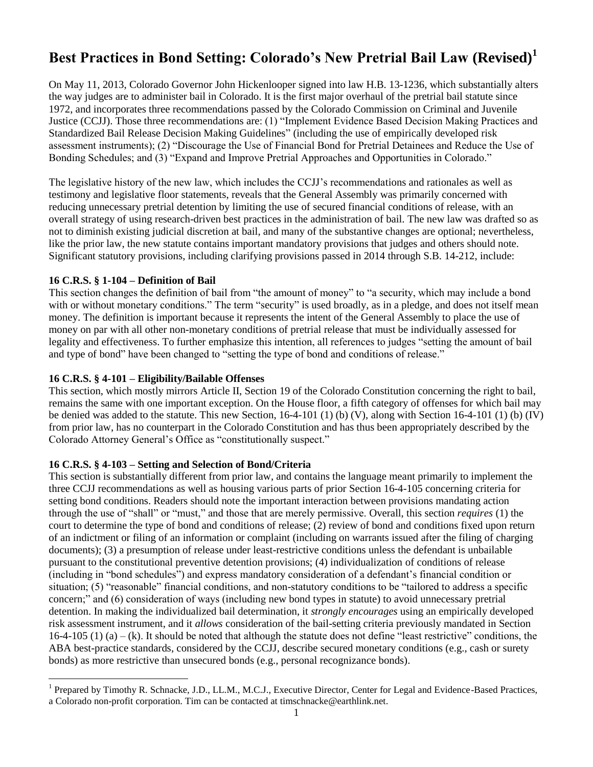# **Best Practices in Bond Setting: Colorado's New Pretrial Bail Law (Revised)<sup>1</sup>**

On May 11, 2013, Colorado Governor John Hickenlooper signed into law H.B. 13-1236, which substantially alters the way judges are to administer bail in Colorado. It is the first major overhaul of the pretrial bail statute since 1972, and incorporates three recommendations passed by the Colorado Commission on Criminal and Juvenile Justice (CCJJ). Those three recommendations are: (1) "Implement Evidence Based Decision Making Practices and Standardized Bail Release Decision Making Guidelines" (including the use of empirically developed risk assessment instruments); (2) "Discourage the Use of Financial Bond for Pretrial Detainees and Reduce the Use of Bonding Schedules; and (3) "Expand and Improve Pretrial Approaches and Opportunities in Colorado."

The legislative history of the new law, which includes the CCJJ's recommendations and rationales as well as testimony and legislative floor statements, reveals that the General Assembly was primarily concerned with reducing unnecessary pretrial detention by limiting the use of secured financial conditions of release, with an overall strategy of using research-driven best practices in the administration of bail. The new law was drafted so as not to diminish existing judicial discretion at bail, and many of the substantive changes are optional; nevertheless, like the prior law, the new statute contains important mandatory provisions that judges and others should note. Significant statutory provisions, including clarifying provisions passed in 2014 through S.B. 14-212, include:

## **16 C.R.S. § 1-104 – Definition of Bail**

 $\overline{a}$ 

This section changes the definition of bail from "the amount of money" to "a security, which may include a bond with or without monetary conditions." The term "security" is used broadly, as in a pledge, and does not itself mean money. The definition is important because it represents the intent of the General Assembly to place the use of money on par with all other non-monetary conditions of pretrial release that must be individually assessed for legality and effectiveness. To further emphasize this intention, all references to judges "setting the amount of bail and type of bond" have been changed to "setting the type of bond and conditions of release."

## **16 C.R.S. § 4-101 – Eligibility/Bailable Offenses**

This section, which mostly mirrors Article II, Section 19 of the Colorado Constitution concerning the right to bail, remains the same with one important exception. On the House floor, a fifth category of offenses for which bail may be denied was added to the statute. This new Section, 16-4-101 (1) (b) (V), along with Section 16-4-101 (1) (b) (IV) from prior law, has no counterpart in the Colorado Constitution and has thus been appropriately described by the Colorado Attorney General's Office as "constitutionally suspect."

## **16 C.R.S. § 4-103 – Setting and Selection of Bond/Criteria**

This section is substantially different from prior law, and contains the language meant primarily to implement the three CCJJ recommendations as well as housing various parts of prior Section 16-4-105 concerning criteria for setting bond conditions. Readers should note the important interaction between provisions mandating action through the use of "shall" or "must," and those that are merely permissive. Overall, this section *requires* (1) the court to determine the type of bond and conditions of release; (2) review of bond and conditions fixed upon return of an indictment or filing of an information or complaint (including on warrants issued after the filing of charging documents); (3) a presumption of release under least-restrictive conditions unless the defendant is unbailable pursuant to the constitutional preventive detention provisions; (4) individualization of conditions of release (including in "bond schedules") and express mandatory consideration of a defendant's financial condition or situation; (5) "reasonable" financial conditions, and non-statutory conditions to be "tailored to address a specific concern;" and (6) consideration of ways (including new bond types in statute) to avoid unnecessary pretrial detention. In making the individualized bail determination, it *strongly encourages* using an empirically developed risk assessment instrument, and it *allows* consideration of the bail-setting criteria previously mandated in Section  $16-4-105$  (1) (a) – (k). It should be noted that although the statute does not define "least restrictive" conditions, the ABA best-practice standards, considered by the CCJJ, describe secured monetary conditions (e.g., cash or surety bonds) as more restrictive than unsecured bonds (e.g., personal recognizance bonds).

<sup>&</sup>lt;sup>1</sup> Prepared by Timothy R. Schnacke, J.D., LL.M., M.C.J., Executive Director, Center for Legal and Evidence-Based Practices, a Colorado non-profit corporation. Tim can be contacted at timschnacke@earthlink.net.